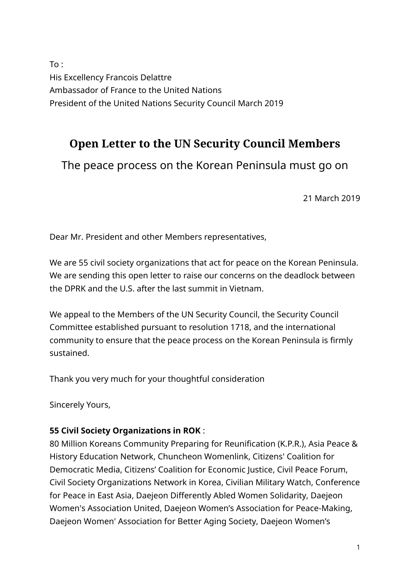To : His Excellency Francois Delattre Ambassador of France to the United Nations President of the United Nations Security Council March 2019

# **Open Letter to the UN Security Council Members**

The peace process on the Korean Peninsula must go on

21 March 2019

Dear Mr. President and other Members representatives,

We are 55 civil society organizations that act for peace on the Korean Peninsula. We are sending this open letter to raise our concerns on the deadlock between the DPRK and the U.S. after the last summit in Vietnam.

We appeal to the Members of the UN Security Council, the Security Council Committee established pursuant to resolution 1718, and the international community to ensure that the peace process on the Korean Peninsula is firmly sustained.

Thank you very much for your thoughtful consideration

Sincerely Yours,

## **55 Civil Society Organizations in ROK** :

80 Million Koreans Community Preparing for Reunification (K.P.R.), Asia Peace & History Education Network, Chuncheon Womenlink, Citizens' Coalition for Democratic Media, Citizens' Coalition for Economic Justice, Civil Peace Forum, Civil Society Organizations Network in Korea, Civilian Military Watch, Conference for Peace in East Asia, Daejeon Differently Abled Women Solidarity, Daejeon Women's Association United, Daejeon Women's Association for Peace-Making, Daejeon Women' Association for Better Aging Society, Daejeon Women's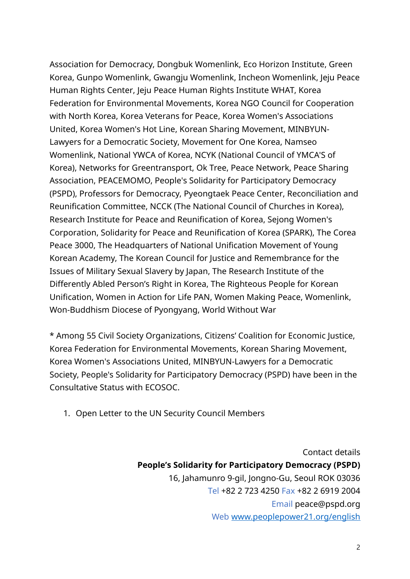Association for Democracy, Dongbuk Womenlink, Eco Horizon Institute, Green Korea, Gunpo Womenlink, Gwangju Womenlink, Incheon Womenlink, Jeju Peace Human Rights Center, Jeju Peace Human Rights Institute WHAT, Korea Federation for Environmental Movements, Korea NGO Council for Cooperation with North Korea, Korea Veterans for Peace, Korea Women's Associations United, Korea Women's Hot Line, Korean Sharing Movement, MINBYUN-Lawyers for a Democratic Society, Movement for One Korea, Namseo Womenlink, National YWCA of Korea, NCYK (National Council of YMCA'S of Korea), Networks for Greentransport, Ok Tree, Peace Network, Peace Sharing Association, PEACEMOMO, People's Solidarity for Participatory Democracy (PSPD), Professors for Democracy, Pyeongtaek Peace Center, Reconciliation and Reunification Committee, NCCK (The National Council of Churches in Korea), Research Institute for Peace and Reunification of Korea, Sejong Women's Corporation, Solidarity for Peace and Reunification of Korea (SPARK), The Corea Peace 3000, The Headquarters of National Unification Movement of Young Korean Academy, The Korean Council for Justice and Remembrance for the Issues of Military Sexual Slavery by Japan, The Research Institute of the Differently Abled Person's Right in Korea, The Righteous People for Korean Unification, Women in Action for Life PAN, Women Making Peace, Womenlink, Won-Buddhism Diocese of Pyongyang, World Without War

\* Among 55 Civil Society Organizations, Citizens' Coalition for Economic Justice, Korea Federation for Environmental Movements, Korean Sharing Movement, Korea Women's Associations United, MINBYUN-Lawyers for a Democratic Society, People's Solidarity for Participatory Democracy (PSPD) have been in the Consultative Status with ECOSOC.

1. Open Letter to the UN Security Council Members

Contact details **People's Solidarity for Participatory Democracy (PSPD)** 16, Jahamunro 9-gil, Jongno-Gu, Seoul ROK 03036 Tel +82 2 723 4250 Fax +82 2 6919 2004 Email peace@pspd.org Web [www.peoplepower21.org/english](http://www.peoplepower21.org/english)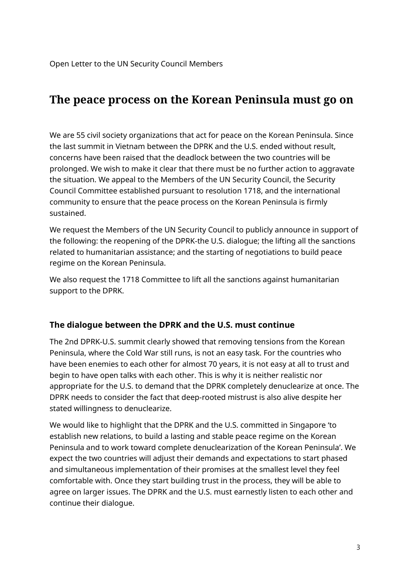## **The peace process on the Korean Peninsula must go on**

We are 55 civil society organizations that act for peace on the Korean Peninsula. Since the last summit in Vietnam between the DPRK and the U.S. ended without result, concerns have been raised that the deadlock between the two countries will be prolonged. We wish to make it clear that there must be no further action to aggravate the situation. We appeal to the Members of the UN Security Council, the Security Council Committee established pursuant to resolution 1718, and the international community to ensure that the peace process on the Korean Peninsula is firmly sustained.

We request the Members of the UN Security Council to publicly announce in support of the following: the reopening of the DPRK-the U.S. dialogue; the lifting all the sanctions related to humanitarian assistance; and the starting of negotiations to build peace regime on the Korean Peninsula.

We also request the 1718 Committee to lift all the sanctions against humanitarian support to the DPRK.

#### **The dialogue between the DPRK and the U.S. must continue**

The 2nd DPRK-U.S. summit clearly showed that removing tensions from the Korean Peninsula, where the Cold War still runs, is not an easy task. For the countries who have been enemies to each other for almost 70 years, it is not easy at all to trust and begin to have open talks with each other. This is why it is neither realistic nor appropriate for the U.S. to demand that the DPRK completely denuclearize at once. The DPRK needs to consider the fact that deep-rooted mistrust is also alive despite her stated willingness to denuclearize.

We would like to highlight that the DPRK and the U.S. committed in Singapore 'to establish new relations, to build a lasting and stable peace regime on the Korean Peninsula and to work toward complete denuclearization of the Korean Peninsula'. We expect the two countries will adjust their demands and expectations to start phased and simultaneous implementation of their promises at the smallest level they feel comfortable with. Once they start building trust in the process, they will be able to agree on larger issues. The DPRK and the U.S. must earnestly listen to each other and continue their dialogue.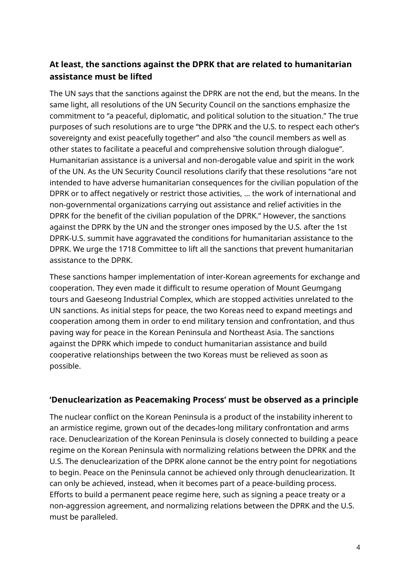## **At least, the sanctions against the DPRK that are related to humanitarian assistance must be lifted**

The UN says that the sanctions against the DPRK are not the end, but the means. In the same light, all resolutions of the UN Security Council on the sanctions emphasize the commitment to "a peaceful, diplomatic, and political solution to the situation." The true purposes of such resolutions are to urge "the DPRK and the U.S. to respect each other's sovereignty and exist peacefully together" and also "the council members as well as other states to facilitate a peaceful and comprehensive solution through dialogue". Humanitarian assistance is a universal and non-derogable value and spirit in the work of the UN. As the UN Security Council resolutions clarify that these resolutions "are not intended to have adverse humanitarian consequences for the civilian population of the DPRK or to affect negatively or restrict those activities, … the work of international and non-governmental organizations carrying out assistance and relief activities in the DPRK for the benefit of the civilian population of the DPRK." However, the sanctions against the DPRK by the UN and the stronger ones imposed by the U.S. after the 1st DPRK-U.S. summit have aggravated the conditions for humanitarian assistance to the DPRK. We urge the 1718 Committee to lift all the sanctions that prevent humanitarian assistance to the DPRK.

These sanctions hamper implementation of inter-Korean agreements for exchange and cooperation. They even made it difficult to resume operation of Mount Geumgang tours and Gaeseong Industrial Complex, which are stopped activities unrelated to the UN sanctions. As initial steps for peace, the two Koreas need to expand meetings and cooperation among them in order to end military tension and confrontation, and thus paving way for peace in the Korean Peninsula and Northeast Asia. The sanctions against the DPRK which impede to conduct humanitarian assistance and build cooperative relationships between the two Koreas must be relieved as soon as possible.

## **'Denuclearization as Peacemaking Process' must be observed as a principle**

The nuclear conflict on the Korean Peninsula is a product of the instability inherent to an armistice regime, grown out of the decades-long military confrontation and arms race. Denuclearization of the Korean Peninsula is closely connected to building a peace regime on the Korean Peninsula with normalizing relations between the DPRK and the U.S. The denuclearization of the DPRK alone cannot be the entry point for negotiations to begin. Peace on the Peninsula cannot be achieved only through denuclearization. It can only be achieved, instead, when it becomes part of a peace-building process. Efforts to build a permanent peace regime here, such as signing a peace treaty or a non-aggression agreement, and normalizing relations between the DPRK and the U.S. must be paralleled.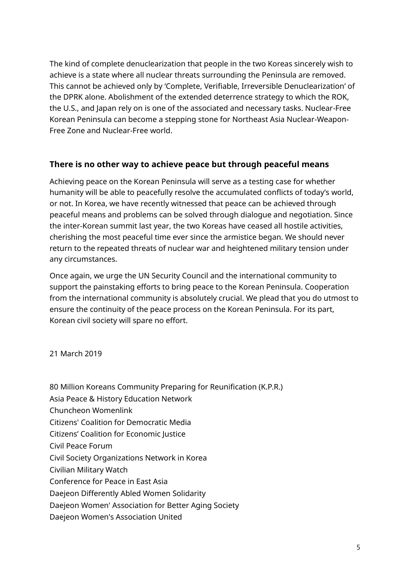The kind of complete denuclearization that people in the two Koreas sincerely wish to achieve is a state where all nuclear threats surrounding the Peninsula are removed. This cannot be achieved only by 'Complete, Verifiable, Irreversible Denuclearization' of the DPRK alone. Abolishment of the extended deterrence strategy to which the ROK, the U.S., and Japan rely on is one of the associated and necessary tasks. Nuclear-Free Korean Peninsula can become a stepping stone for Northeast Asia Nuclear-Weapon-Free Zone and Nuclear-Free world.

#### **There is no other way to achieve peace but through peaceful means**

Achieving peace on the Korean Peninsula will serve as a testing case for whether humanity will be able to peacefully resolve the accumulated conflicts of today's world, or not. In Korea, we have recently witnessed that peace can be achieved through peaceful means and problems can be solved through dialogue and negotiation. Since the inter-Korean summit last year, the two Koreas have ceased all hostile activities, cherishing the most peaceful time ever since the armistice began. We should never return to the repeated threats of nuclear war and heightened military tension under any circumstances.

Once again, we urge the UN Security Council and the international community to support the painstaking efforts to bring peace to the Korean Peninsula. Cooperation from the international community is absolutely crucial. We plead that you do utmost to ensure the continuity of the peace process on the Korean Peninsula. For its part, Korean civil society will spare no effort.

21 March 2019

- 80 Million Koreans Community Preparing for Reunification (K.P.R.)
- Asia Peace & History Education Network
- Chuncheon Womenlink
- Citizens' Coalition for Democratic Media
- Citizens' Coalition for Economic Justice
- Civil Peace Forum
- Civil Society Organizations Network in Korea
- Civilian Military Watch
- Conference for Peace in East Asia
- Daejeon Differently Abled Women Solidarity
- Daejeon Women' Association for Better Aging Society
- Daejeon Women's Association United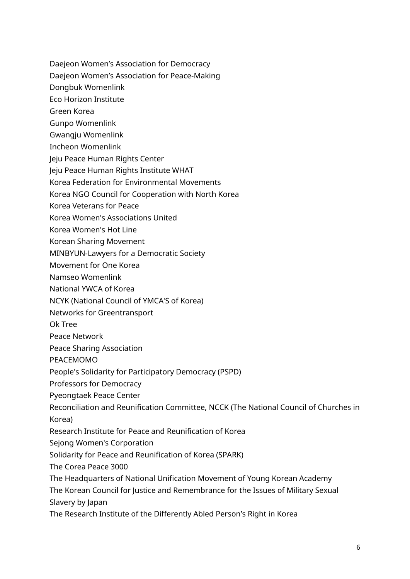- Daejeon Women's Association for Democracy
- Daejeon Women's Association for Peace-Making
- Dongbuk Womenlink
- Eco Horizon Institute
- Green Korea
- Gunpo Womenlink
- Gwangju Womenlink
- Incheon Womenlink
- Jeju Peace Human Rights Center
- Jeju Peace Human Rights Institute WHAT
- Korea Federation for Environmental Movements
- Korea NGO Council for Cooperation with North Korea
- Korea Veterans for Peace
- Korea Women's Associations United
- Korea Women's Hot Line
- Korean Sharing Movement
- MINBYUN-Lawyers for a Democratic Society
- Movement for One Korea
- Namseo Womenlink
- National YWCA of Korea
- NCYK (National Council of YMCA'S of Korea)
- Networks for Greentransport
- Ok Tree
- Peace Network
- Peace Sharing Association
- PEACEMOMO
- People's Solidarity for Participatory Democracy (PSPD)
- Professors for Democracy
- Pyeongtaek Peace Center
- Reconciliation and Reunification Committee, NCCK (The National Council of Churches in Korea)
- Research Institute for Peace and Reunification of Korea
- Sejong Women's Corporation
- Solidarity for Peace and Reunification of Korea (SPARK)
- The Corea Peace 3000
- The Headquarters of National Unification Movement of Young Korean Academy
- The Korean Council for Justice and Remembrance for the Issues of Military Sexual Slavery by Japan
- The Research Institute of the Differently Abled Person's Right in Korea